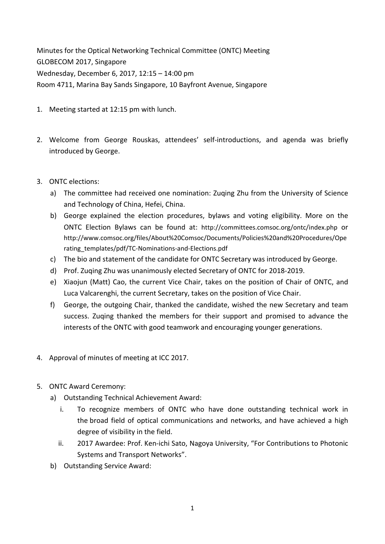Minutes for the Optical Networking Technical Committee (ONTC) Meeting GLOBECOM 2017, Singapore Wednesday, December 6, 2017, 12:15 – 14:00 pm Room 4711, Marina Bay Sands Singapore, 10 Bayfront Avenue, Singapore

- 1. Meeting started at 12:15 pm with lunch.
- 2. Welcome from George Rouskas, attendees' self‐introductions, and agenda was briefly introduced by George.
- 3. ONTC elections:
	- a) The committee had received one nomination: Zuqing Zhu from the University of Science and Technology of China, Hefei, China.
	- b) George explained the election procedures, bylaws and voting eligibility. More on the ONTC Election Bylaws can be found at: http://committees.comsoc.org/ontc/index.php or http://www.comsoc.org/files/About%20Comsoc/Documents/Policies%20and%20Procedures/Ope rating\_templates/pdf/TC‐Nominations‐and‐Elections.pdf
	- c) The bio and statement of the candidate for ONTC Secretary was introduced by George.
	- d) Prof. Zuqing Zhu was unanimously elected Secretary of ONTC for 2018‐2019.
	- e) Xiaojun (Matt) Cao, the current Vice Chair, takes on the position of Chair of ONTC, and Luca Valcarenghi, the current Secretary, takes on the position of Vice Chair.
	- f) George, the outgoing Chair, thanked the candidate, wished the new Secretary and team success. Zuqing thanked the members for their support and promised to advance the interests of the ONTC with good teamwork and encouraging younger generations.
- 4. Approval of minutes of meeting at ICC 2017.
- 5. ONTC Award Ceremony:
	- a) Outstanding Technical Achievement Award:
		- i. To recognize members of ONTC who have done outstanding technical work in the broad field of optical communications and networks, and have achieved a high degree of visibility in the field.
		- ii. 2017 Awardee: Prof. Ken-ichi Sato, Nagoya University, "For Contributions to Photonic Systems and Transport Networks".
	- b) Outstanding Service Award: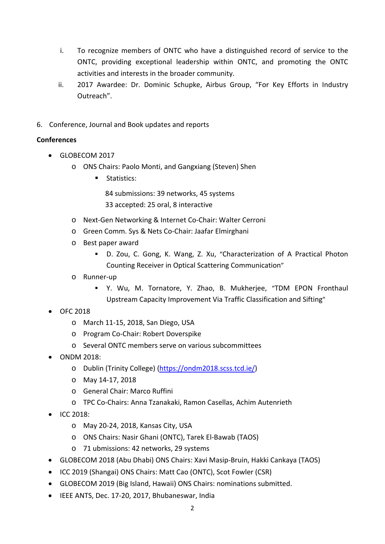- i. To recognize members of ONTC who have a distinguished record of service to the ONTC, providing exceptional leadership within ONTC, and promoting the ONTC activities and interests in the broader community.
- ii. 2017 Awardee: Dr. Dominic Schupke, Airbus Group, "For Key Efforts in Industry Outreach".
- 6. Conference, Journal and Book updates and reports

## **Conferences**

- GLOBECOM 2017
	- o ONS Chairs: Paolo Monti, and Gangxiang (Steven) Shen
		- Statistics:

84 submissions: 39 networks, 45 systems 33 accepted: 25 oral, 8 interactive

- o Next‐Gen Networking & Internet Co‐Chair: Walter Cerroni
- o Green Comm. Sys & Nets Co‐Chair: Jaafar Elmirghani
- o Best paper award
	- D. Zou, C. Gong, K. Wang, Z. Xu, "Characterization of A Practical Photon Counting Receiver in Optical Scattering Communication"
- o Runner‐up
	- Y. Wu, M. Tornatore, Y. Zhao, B. Mukherjee, "TDM EPON Fronthaul Upstream Capacity Improvement Via Traffic Classification and Sifting"
- OFC 2018
	- o March 11‐15, 2018, San Diego, USA
	- o Program Co‐Chair: Robert Doverspike
	- o Several ONTC members serve on various subcommittees
- ONDM 2018:
	- o Dublin (Trinity College) (https://ondm2018.scss.tcd.ie/)
	- o May 14‐17, 2018
	- o General Chair: Marco Ruffini
	- o TPC Co‐Chairs: Anna Tzanakaki, Ramon Casellas, Achim Autenrieth
- $\bullet$  ICC 2018:
	- o May 20‐24, 2018, Kansas City, USA
	- o ONS Chairs: Nasir Ghani (ONTC), Tarek El‐Bawab (TAOS)
	- o 71 ubmissions: 42 networks, 29 systems
- GLOBECOM 2018 (Abu Dhabi) ONS Chairs: Xavi Masip‐Bruin, Hakki Cankaya (TAOS)
- ICC 2019 (Shangai) ONS Chairs: Matt Cao (ONTC), Scot Fowler (CSR)
- GLOBECOM 2019 (Big Island, Hawaii) ONS Chairs: nominations submitted.
- IEEE ANTS, Dec. 17‐20, 2017, Bhubaneswar, India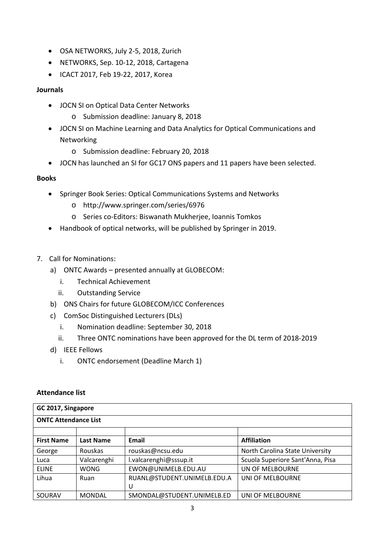- OSA NETWORKS, July 2-5, 2018, Zurich
- NETWORKS, Sep. 10‐12, 2018, Cartagena
- ICACT 2017, Feb 19-22, 2017, Korea

## **Journals**

- JOCN SI on Optical Data Center Networks
	- o Submission deadline: January 8, 2018
- JOCN SI on Machine Learning and Data Analytics for Optical Communications and Networking
	- o Submission deadline: February 20, 2018
- JOCN has launched an SI for GC17 ONS papers and 11 papers have been selected.

## **Books**

- Springer Book Series: Optical Communications Systems and Networks
	- o http://www.springer.com/series/6976
	- o Series co‐Editors: Biswanath Mukherjee, Ioannis Tomkos
- Handbook of optical networks, will be published by Springer in 2019.
- 7. Call for Nominations:
	- a) ONTC Awards presented annually at GLOBECOM:
		- i. Technical Achievement
		- ii. Outstanding Service
	- b) ONS Chairs for future GLOBECOM/ICC Conferences
	- c) ComSoc Distinguished Lecturers (DLs)
		- i. Nomination deadline: September 30, 2018
		- ii. Three ONTC nominations have been approved for the DL term of 2018‐2019
	- d) IEEE Fellows
		- i. ONTC endorsement (Deadline March 1)

## **Attendance list**

| GC 2017, Singapore          |                  |                             |                                  |  |  |
|-----------------------------|------------------|-----------------------------|----------------------------------|--|--|
| <b>ONTC Attendance List</b> |                  |                             |                                  |  |  |
|                             |                  |                             |                                  |  |  |
| <b>First Name</b>           | <b>Last Name</b> | Email                       | <b>Affiliation</b>               |  |  |
| George                      | Rouskas          | rouskas@ncsu.edu            | North Carolina State University  |  |  |
| Luca                        | Valcarenghi      | l.valcarenghi@sssup.it      | Scuola Superiore Sant'Anna, Pisa |  |  |
| <b>ELINE</b>                | <b>WONG</b>      | EWON@UNIMELB.EDU.AU         | UN OF MELBOURNE                  |  |  |
| Lihua                       | Ruan             | RUANL@STUDENT.UNIMELB.EDU.A | UNI OF MELBOURNE                 |  |  |
|                             |                  | U                           |                                  |  |  |
| SOURAV                      | <b>MONDAL</b>    | SMONDAL@STUDENT.UNIMELB.ED  | UNI OF MELBOURNE                 |  |  |